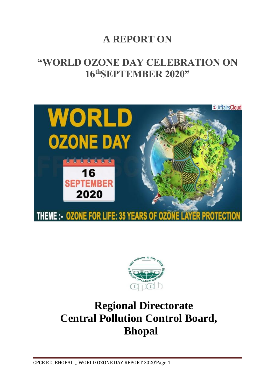# **A REPORT ON**

## **"WORLD OZONE DAY CELEBRATION ON 16thSEPTEMBER 2020"**





# **Regional Directorate Central Pollution Control Board, Bhopal**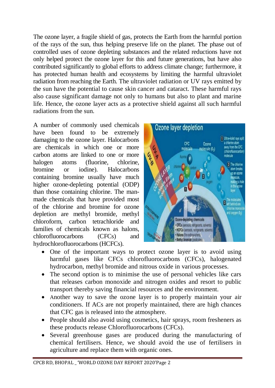The ozone layer, a fragile shield of gas, protects the Earth from the harmful portion of the rays of the sun, thus helping preserve life on the planet. The phase out of controlled uses of ozone depleting substances and the related reductions have not only helped protect the ozone layer for this and future generations, but have also contributed significantly to global efforts to address climate change; furthermore, it has protected human health and ecosystems by limiting the harmful ultraviolet radiation from reaching the Earth. The ultraviolet radiation or UV rays emitted by the sun have the potential to cause skin cancer and cataract. These harmful rays also cause significant damage not only to humans but also to plant and marine life. Hence, the ozone layer acts as a protective shield against all such harmful radiations from the sun.

A number of commonly used chemicals have been found to be extremely damaging to the ozone layer. Halocarbons are chemicals in which one or more carbon atoms are linked to one or more halogen atoms (fluorine, chlorine, bromine or iodine). Halocarbons containing bromine usually have much higher ozone-depleting potential (ODP) than those containing chlorine. The manmade chemicals that have provided most of the chlorine and bromine for ozone depletion are methyl bromide, methyl chloroform, carbon tetrachloride and families of chemicals known as halons, chlorofluorocarbons (CFCs) and hydrochlorofluorocarbons (HCFCs).



- One of the important ways to protect ozone layer is to avoid using harmful gases like CFCs chlorofluorocarbons (CFCs), halogenated hydrocarbon, methyl bromide and nitrous oxide in various processes.
- The second option is to minimise the use of personal vehicles like cars that releases carbon monoxide and nitrogen oxides and resort to public transport thereby saving financial resources and the environment.
- Another way to save the ozone layer is to properly maintain your air conditioners. If ACs are not properly maintained, there are high chances that CFC gas is released into the atmosphere.
- People should also avoid using cosmetics, hair sprays, room fresheners as these products release Chlorofluorocarbons (CFCs).
- Several greenhouse gases are produced during the manufacturing of chemical fertilisers. Hence, we should avoid the use of fertilisers in agriculture and replace them with organic ones.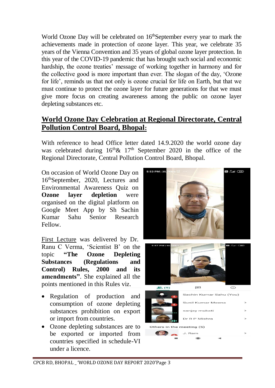World Ozone Day will be celebrated on 16<sup>th</sup>September every year to mark the achievements made in protection of ozone layer. This year, we celebrate 35 years of the Vienna Convention and [35 years of global ozone layer protection.](https://ozone.unep.org/ozone-day/ozone-life-35-years-ozone-layer-protection) In this year of the COVID-19 pandemic that has brought such social and economic hardship, the ozone treaties' message of working together in harmony and for the collective good is more important than ever. The slogan of the day, 'Ozone for life', reminds us that not only is ozone crucial for life on Earth, but that we must continue to protect the ozone layer for future generations for that we must give more focus on creating awareness among the public on ozone layer depleting substances etc.

### **World Ozone Day Celebration at Regional Directorate, Central Pollution Control Board, Bhopal:**

With reference to head Office letter dated 14.9.2020 the world ozone day was celebrated during  $16<sup>th</sup> \& 17<sup>th</sup>$  September 2020 in the office of the Regional Directorate, Central Pollution Control Board, Bhopal.

On occasion of World Ozone Day on 16thSeptember, 2020, Lectures and Environmental Awareness Quiz on **Ozone layer depletion** were organised on the digital platform on Google Meet App by Sh Sachin Kumar Sahu Senior Research Fellow.

First Lecture was delivered by Dr. Ranu C Verma, 'Scientist B' on the topic **"The Ozone Depleting Substances (Regulations and Control) Rules, 2000 and its amendments"**. She explained all the points mentioned in this Rules viz.

- Regulation of production and consumption of ozone depleting substances prohibition on export or import from countries.
- Ozone depleting substances are to be exported or imported from countries specified in schedule-VI under a licence.

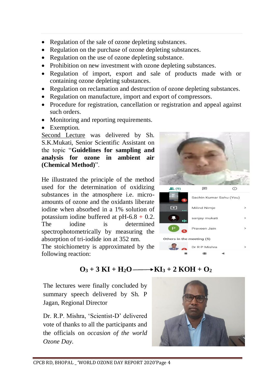- Regulation of the sale of ozone depleting substances.
- Regulation on the purchase of ozone depleting substances.
- Regulation on the use of ozone depleting substance.
- Prohibition on new investment with ozone depleting substances.
- Regulation of import, export and sale of products made with or containing ozone depleting substances.
- Regulation on reclamation and destruction of ozone depleting substances.
- Regulation on manufacture, import and export of compressors.
- Procedure for registration, cancellation or registration and appeal against such orders.
- Monitoring and reporting requirements.
- Exemption.

Second Lecture was delivered by Sh. S.K.Mukati, Senior Scientific Assistant on the topic "**Guidelines for sampling and analysis for ozone in ambient air (Chemical Method)**".

He illustrated the principle of the method used for the determination of oxidizing substances in the atmosphere i.e. microamounts of ozone and the oxidants liberate iodine when absorbed in a 1% solution of potassium iodine buffered at  $pH-6.8 + 0.2$ . The iodine is determined spectrophotometrically by measuring the absorption of tri-iodide ion at 352 nm.

The stoichiometry is approximated by the following reaction:





## $\overrightarrow{O_3}$  + 3 KI + H<sub>2</sub> $\overrightarrow{O_2}$  + XI<sub>3</sub> + 2 KOH +  $\overrightarrow{O_2}$

The lectures were finally concluded by summary speech delivered by Sh. P Jagan, Regional Director

Dr. R.P. Mishra, 'Scientist-D' delivered vote of thanks to all the participants and the officials on *occasion of the world Ozone Day.*